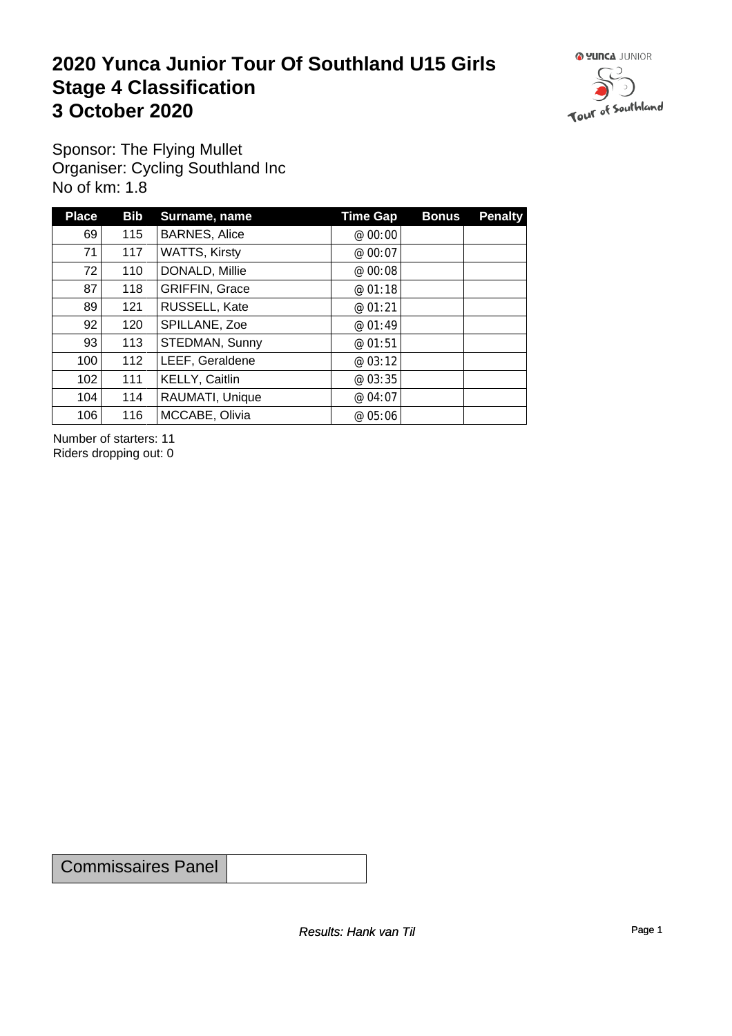### **2020 Yunca Junior Tour Of Southland U15 Girls** Stage 4 Classification<br>
3 October 2020 **3 October 2020**



Sponsor: The Flying Mullet Organiser: Cycling Southland Inc No of km: 1.8

| <b>Place</b> | <b>Bib</b> | Surname, name         | <b>Time Gap</b> | <b>Bonus</b> | <b>Penalty</b> |
|--------------|------------|-----------------------|-----------------|--------------|----------------|
| 69           | 115        | <b>BARNES, Alice</b>  | @ $00:00$       |              |                |
| 71           | 117        | WATTS, Kirsty         | @ 00:07         |              |                |
| 72           | 110        | DONALD, Millie        | @ 00:08         |              |                |
| 87           | 118        | <b>GRIFFIN, Grace</b> | @ 01:18         |              |                |
| 89           | 121        | RUSSELL, Kate         | @01:21          |              |                |
| 92           | 120        | SPILLANE, Zoe         | @ 01:49         |              |                |
| 93           | 113        | STEDMAN, Sunny        | @01:51          |              |                |
| 100          | 112        | LEEF, Geraldene       | @ 03:12         |              |                |
| 102          | 111        | <b>KELLY, Caitlin</b> | @ 03:35         |              |                |
| 104          | 114        | RAUMATI, Unique       | @ 04:07         |              |                |
| 106          | 116        | MCCABE, Olivia        | @ 05:06         |              |                |

Number of starters: 11 Riders dropping out: 0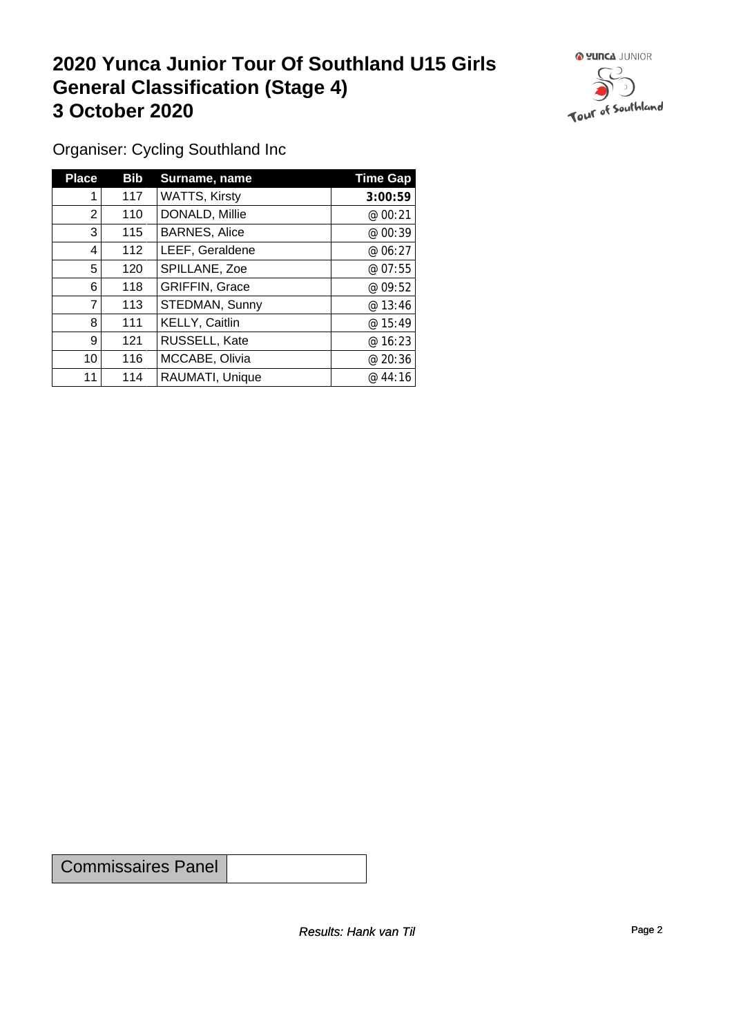### **2020 Yunca Junior Tour Of Southland U15 Girls General Classification (Stage 4)**<br> **3 October 2020 3 October 2020**



Organiser: Cycling Southland Inc

| <b>Place</b>   | Bib | Surname, name         | <b>Time Gap</b> |
|----------------|-----|-----------------------|-----------------|
|                | 117 | <b>WATTS, Kirsty</b>  | 3:00:59         |
| $\overline{2}$ | 110 | DONALD, Millie        | @ 00:21         |
| 3              | 115 | <b>BARNES, Alice</b>  | @ 00:39         |
| 4              | 112 | LEEF, Geraldene       | @ 06:27         |
| 5              | 120 | SPILLANE, Zoe         | @ 07:55         |
| 6              | 118 | <b>GRIFFIN, Grace</b> | @ 09:52         |
| 7              | 113 | STEDMAN, Sunny        | @13:46          |
| 8              | 111 | KELLY, Caitlin        | @ 15:49         |
| 9              | 121 | RUSSELL, Kate         | @ 16:23         |
| 10             | 116 | MCCABE, Olivia        | @20:36          |
| 11             | 114 | RAUMATI, Unique       | @44:16          |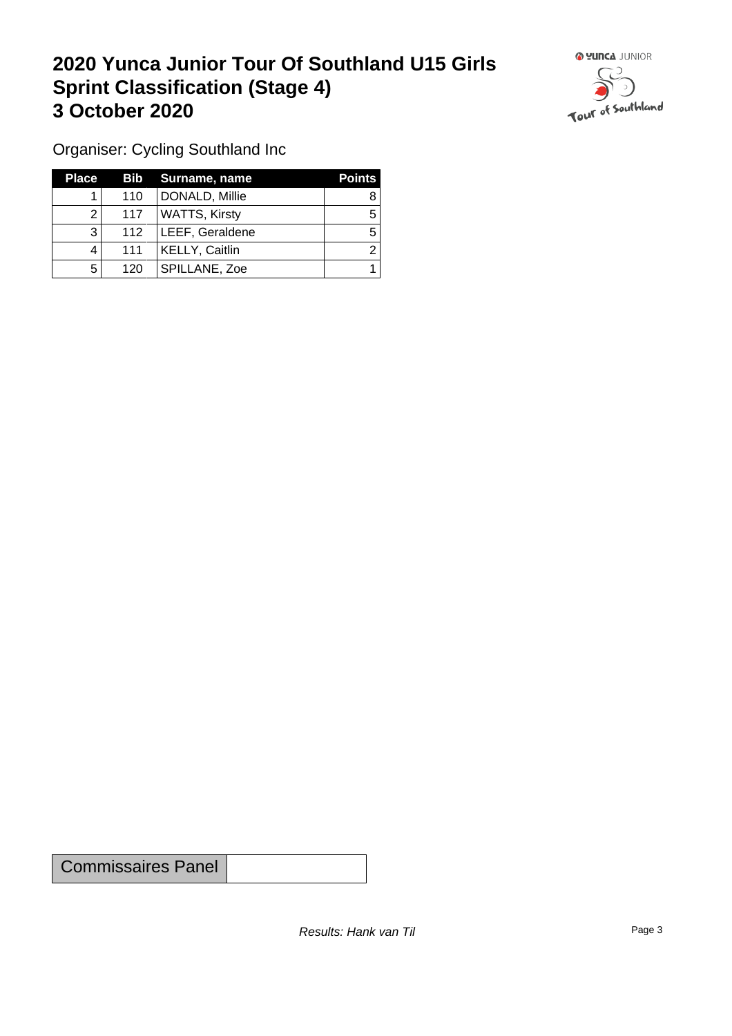### **2020 Yunca Junior Tour Of Southland U15 Girls Sprint Classification (Stage 4) 3 October 2020**



Organiser: Cycling Southland Inc

| <b>Place</b> |     | Bib Surname, name    | <b>Points</b> |
|--------------|-----|----------------------|---------------|
|              | 110 | DONALD, Millie       |               |
| ◠            | 117 | <b>WATTS, Kirsty</b> |               |
| 3            | 112 | LEEF, Geraldene      |               |
|              | 111 | KELLY, Caitlin       |               |
| 5            | 120 | SPILLANE, Zoe        |               |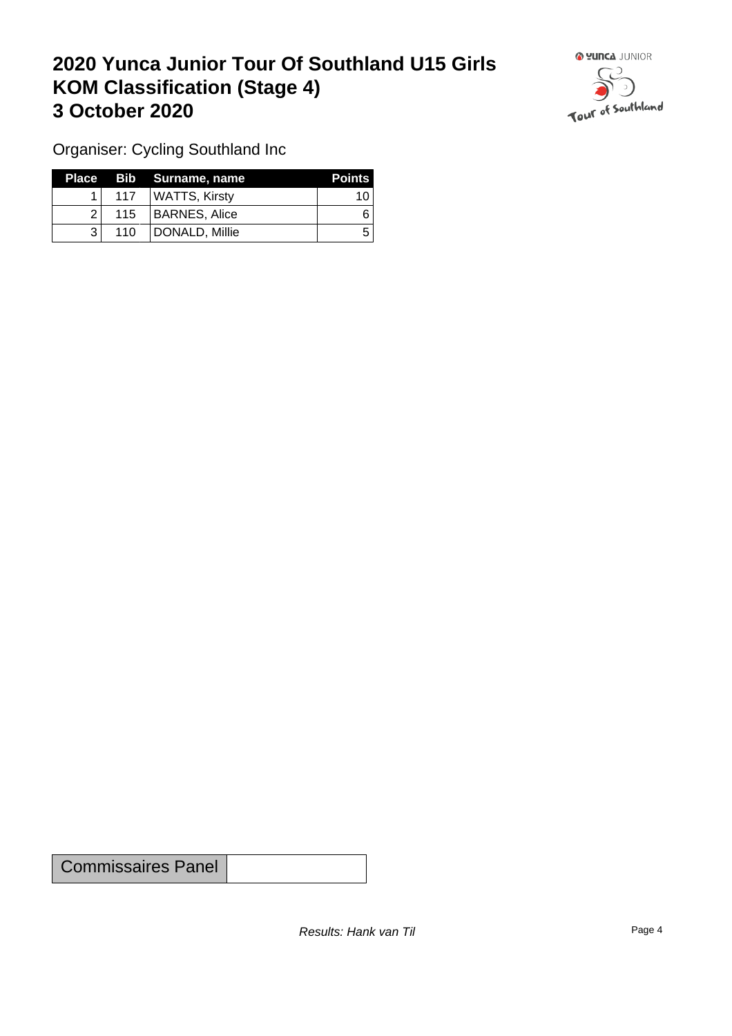## **2020 Yunca Junior Tour Of Southland U15 Girls KOM Classification (Stage 4) 3 October 2020 1999 <b>1999 1999 1999 1999 1999 1999 1999 1999 1999 1999 1999 1999 1999 1999 1999 1999 1999 1999 1999 1999 1999 1999 1999 1999 1999 1999 1999 1999 19**



Organiser: Cycling Southland Inc

|     |                  | Place Bib Surname, name | <b>Points</b> |
|-----|------------------|-------------------------|---------------|
|     | 117 <sup>1</sup> | ∣ WATTS, Kirsty         | 10            |
| 21  |                  | 115   BARNES, Alice     |               |
| ? । | 110              | DONALD, Millie          | ∽             |